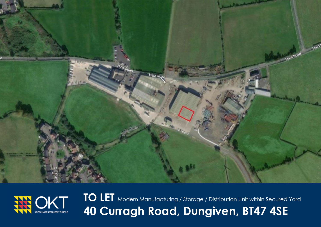



**TO LET** Modern Manufacturing / Storage / Distribution Unit within Secured Yard **40 Curragh Road, Dungiven, BT47 4SE**